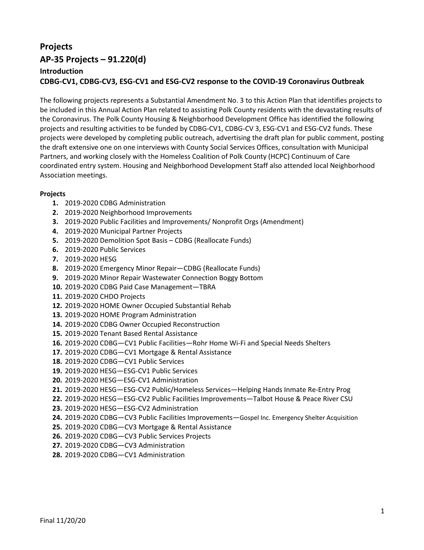# **Projects AP-35 Projects – 91.220(d) Introduction CDBG-CV1, CDBG-CV3, ESG-CV1 and ESG-CV2 response to the COVID-19 Coronavirus Outbreak**

The following projects represents a Substantial Amendment No. 3 to this Action Plan that identifies projects to be included in this Annual Action Plan related to assisting Polk County residents with the devastating results of the Coronavirus. The Polk County Housing & Neighborhood Development Office has identified the following projects and resulting activities to be funded by CDBG-CV1, CDBG-CV 3, ESG-CV1 and ESG-CV2 funds. These projects were developed by completing public outreach, advertising the draft plan for public comment, posting the draft extensive one on one interviews with County Social Services Offices, consultation with Municipal Partners, and working closely with the Homeless Coalition of Polk County (HCPC) Continuum of Care coordinated entry system. Housing and Neighborhood Development Staff also attended local Neighborhood Association meetings.

## **Projects**

- **1.** 2019-2020 CDBG Administration
- **2.** 2019-2020 Neighborhood Improvements
- **3.** 2019-2020 Public Facilities and Improvements/ Nonprofit Orgs (Amendment)
- **4.** 2019-2020 Municipal Partner Projects
- **5.** 2019-2020 Demolition Spot Basis CDBG (Reallocate Funds)
- **6.** 2019-2020 Public Services
- **7.** 2019-2020 HESG
- **8.** 2019-2020 Emergency Minor Repair—CDBG (Reallocate Funds)
- **9.** 2019-2020 Minor Repair Wastewater Connection Boggy Bottom
- **10.** 2019-2020 CDBG Paid Case Management—TBRA
- **11.** 2019-2020 CHDO Projects
- **12.** 2019-2020 HOME Owner Occupied Substantial Rehab
- **13.** 2019-2020 HOME Program Administration
- **14.** 2019-2020 CDBG Owner Occupied Reconstruction
- **15.** 2019-2020 Tenant Based Rental Assistance
- **16.** 2019-2020 CDBG—CV1 Public Facilities—Rohr Home Wi-Fi and Special Needs Shelters
- **17.** 2019-2020 CDBG—CV1 Mortgage & Rental Assistance
- **18.** 2019-2020 CDBG—CV1 Public Services
- **19.** 2019-2020 HESG—ESG-CV1 Public Services
- **20.** 2019-2020 HESG—ESG-CV1 Administration
- **21.** 2019-2020 HESG—ESG-CV2 Public/Homeless Services—Helping Hands Inmate Re-Entry Prog
- **22.** 2019-2020 HESG—ESG-CV2 Public Facilities Improvements—Talbot House & Peace River CSU
- **23.** 2019-2020 HESG—ESG-CV2 Administration
- **24.** 2019-2020 CDBG—CV3 Public Facilities Improvements—Gospel Inc. Emergency Shelter Acquisition
- **25.** 2019-2020 CDBG—CV3 Mortgage & Rental Assistance
- **26.** 2019-2020 CDBG—CV3 Public Services Projects
- **27.** 2019-2020 CDBG—CV3 Administration
- **28.** 2019-2020 CDBG—CV1 Administration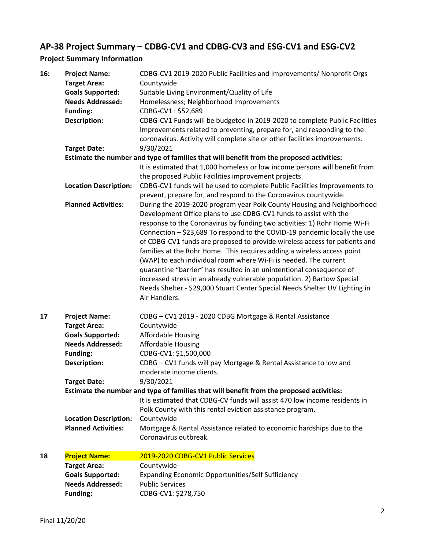# **AP-38 Project Summary – CDBG-CV1 and CDBG-CV3 and ESG-CV1 and ESG-CV2**

## **Project Summary Information**

| 16: | <b>Project Name:</b><br><b>Target Area:</b>                                              | CDBG-CV1 2019-2020 Public Facilities and Improvements/ Nonprofit Orgs<br>Countywide                                                                                                                                                                                                                                                                                                                                                                                                                                                                                                                                                                                                                                                                                                   |  |
|-----|------------------------------------------------------------------------------------------|---------------------------------------------------------------------------------------------------------------------------------------------------------------------------------------------------------------------------------------------------------------------------------------------------------------------------------------------------------------------------------------------------------------------------------------------------------------------------------------------------------------------------------------------------------------------------------------------------------------------------------------------------------------------------------------------------------------------------------------------------------------------------------------|--|
|     | <b>Goals Supported:</b>                                                                  | Suitable Living Environment/Quality of Life                                                                                                                                                                                                                                                                                                                                                                                                                                                                                                                                                                                                                                                                                                                                           |  |
|     | <b>Needs Addressed:</b>                                                                  | Homelessness; Neighborhood Improvements                                                                                                                                                                                                                                                                                                                                                                                                                                                                                                                                                                                                                                                                                                                                               |  |
|     | <b>Funding:</b>                                                                          | CDBG-CV1: \$52,689                                                                                                                                                                                                                                                                                                                                                                                                                                                                                                                                                                                                                                                                                                                                                                    |  |
|     | <b>Description:</b>                                                                      | CDBG-CV1 Funds will be budgeted in 2019-2020 to complete Public Facilities                                                                                                                                                                                                                                                                                                                                                                                                                                                                                                                                                                                                                                                                                                            |  |
|     |                                                                                          | Improvements related to preventing, prepare for, and responding to the<br>coronavirus. Activity will complete site or other facilities improvements.                                                                                                                                                                                                                                                                                                                                                                                                                                                                                                                                                                                                                                  |  |
|     | <b>Target Date:</b>                                                                      | 9/30/2021                                                                                                                                                                                                                                                                                                                                                                                                                                                                                                                                                                                                                                                                                                                                                                             |  |
|     |                                                                                          | Estimate the number and type of families that will benefit from the proposed activities:                                                                                                                                                                                                                                                                                                                                                                                                                                                                                                                                                                                                                                                                                              |  |
|     |                                                                                          | It is estimated that 1,000 homeless or low income persons will benefit from                                                                                                                                                                                                                                                                                                                                                                                                                                                                                                                                                                                                                                                                                                           |  |
|     |                                                                                          | the proposed Public Facilities improvement projects.                                                                                                                                                                                                                                                                                                                                                                                                                                                                                                                                                                                                                                                                                                                                  |  |
|     | <b>Location Description:</b>                                                             | CDBG-CV1 funds will be used to complete Public Facilities Improvements to                                                                                                                                                                                                                                                                                                                                                                                                                                                                                                                                                                                                                                                                                                             |  |
|     |                                                                                          | prevent, prepare for, and respond to the Coronavirus countywide.                                                                                                                                                                                                                                                                                                                                                                                                                                                                                                                                                                                                                                                                                                                      |  |
|     | <b>Planned Activities:</b>                                                               | During the 2019-2020 program year Polk County Housing and Neighborhood<br>Development Office plans to use CDBG-CV1 funds to assist with the<br>response to the Coronavirus by funding two activities: 1) Rohr Home Wi-Fi<br>Connection - \$23,689 To respond to the COVID-19 pandemic locally the use<br>of CDBG-CV1 funds are proposed to provide wireless access for patients and<br>families at the Rohr Home. This requires adding a wireless access point<br>(WAP) to each individual room where Wi-Fi is needed. The current<br>quarantine "barrier" has resulted in an unintentional consequence of<br>increased stress in an already vulnerable population. 2) Bartow Special<br>Needs Shelter - \$29,000 Stuart Center Special Needs Shelter UV Lighting in<br>Air Handlers. |  |
| 17  | <b>Project Name:</b>                                                                     | CDBG - CV1 2019 - 2020 CDBG Mortgage & Rental Assistance                                                                                                                                                                                                                                                                                                                                                                                                                                                                                                                                                                                                                                                                                                                              |  |
|     | <b>Target Area:</b>                                                                      | Countywide                                                                                                                                                                                                                                                                                                                                                                                                                                                                                                                                                                                                                                                                                                                                                                            |  |
|     | <b>Goals Supported:</b>                                                                  | <b>Affordable Housing</b>                                                                                                                                                                                                                                                                                                                                                                                                                                                                                                                                                                                                                                                                                                                                                             |  |
|     | <b>Needs Addressed:</b>                                                                  | Affordable Housing                                                                                                                                                                                                                                                                                                                                                                                                                                                                                                                                                                                                                                                                                                                                                                    |  |
|     | Funding:                                                                                 | CDBG-CV1: \$1,500,000                                                                                                                                                                                                                                                                                                                                                                                                                                                                                                                                                                                                                                                                                                                                                                 |  |
|     | <b>Description:</b>                                                                      | CDBG - CV1 funds will pay Mortgage & Rental Assistance to low and                                                                                                                                                                                                                                                                                                                                                                                                                                                                                                                                                                                                                                                                                                                     |  |
|     |                                                                                          | moderate income clients.                                                                                                                                                                                                                                                                                                                                                                                                                                                                                                                                                                                                                                                                                                                                                              |  |
|     | <b>Target Date:</b>                                                                      | 9/30/2021                                                                                                                                                                                                                                                                                                                                                                                                                                                                                                                                                                                                                                                                                                                                                                             |  |
|     | Estimate the number and type of families that will benefit from the proposed activities: |                                                                                                                                                                                                                                                                                                                                                                                                                                                                                                                                                                                                                                                                                                                                                                                       |  |
|     |                                                                                          | It is estimated that CDBG-CV funds will assist 470 low income residents in<br>Polk County with this rental eviction assistance program.                                                                                                                                                                                                                                                                                                                                                                                                                                                                                                                                                                                                                                               |  |
|     | <b>Location Description:</b>                                                             | Countywide                                                                                                                                                                                                                                                                                                                                                                                                                                                                                                                                                                                                                                                                                                                                                                            |  |
|     | <b>Planned Activities:</b>                                                               | Mortgage & Rental Assistance related to economic hardships due to the<br>Coronavirus outbreak.                                                                                                                                                                                                                                                                                                                                                                                                                                                                                                                                                                                                                                                                                        |  |
| 18  | <b>Project Name:</b>                                                                     | 2019-2020 CDBG-CV1 Public Services                                                                                                                                                                                                                                                                                                                                                                                                                                                                                                                                                                                                                                                                                                                                                    |  |
|     | <b>Target Area:</b>                                                                      | Countywide                                                                                                                                                                                                                                                                                                                                                                                                                                                                                                                                                                                                                                                                                                                                                                            |  |
|     | <b>Goals Supported:</b>                                                                  | Expanding Economic Opportunities/Self Sufficiency                                                                                                                                                                                                                                                                                                                                                                                                                                                                                                                                                                                                                                                                                                                                     |  |
|     | <b>Needs Addressed:</b>                                                                  | <b>Public Services</b>                                                                                                                                                                                                                                                                                                                                                                                                                                                                                                                                                                                                                                                                                                                                                                |  |
|     | Funding:                                                                                 | CDBG-CV1: \$278,750                                                                                                                                                                                                                                                                                                                                                                                                                                                                                                                                                                                                                                                                                                                                                                   |  |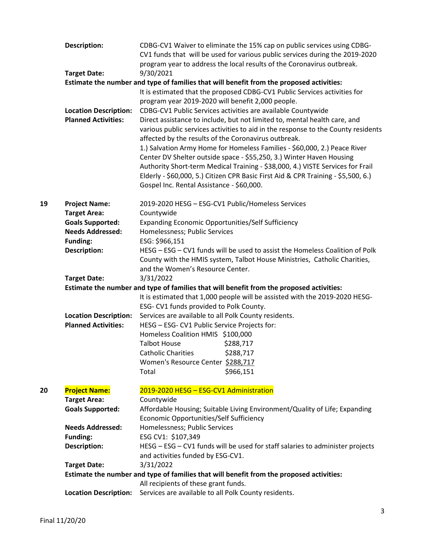|    | Description:                 | CDBG-CV1 Waiver to eliminate the 15% cap on public services using CDBG-<br>CV1 funds that will be used for various public services during the 2019-2020<br>program year to address the local results of the Coronavirus outbreak.                                                                                                                                                                                                                                                                                                                                                               |
|----|------------------------------|-------------------------------------------------------------------------------------------------------------------------------------------------------------------------------------------------------------------------------------------------------------------------------------------------------------------------------------------------------------------------------------------------------------------------------------------------------------------------------------------------------------------------------------------------------------------------------------------------|
|    | <b>Target Date:</b>          | 9/30/2021                                                                                                                                                                                                                                                                                                                                                                                                                                                                                                                                                                                       |
|    |                              | Estimate the number and type of families that will benefit from the proposed activities:                                                                                                                                                                                                                                                                                                                                                                                                                                                                                                        |
|    |                              | It is estimated that the proposed CDBG-CV1 Public Services activities for<br>program year 2019-2020 will benefit 2,000 people.                                                                                                                                                                                                                                                                                                                                                                                                                                                                  |
|    | <b>Location Description:</b> | CDBG-CV1 Public Services activities are available Countywide                                                                                                                                                                                                                                                                                                                                                                                                                                                                                                                                    |
|    | <b>Planned Activities:</b>   | Direct assistance to include, but not limited to, mental health care, and<br>various public services activities to aid in the response to the County residents<br>affected by the results of the Coronavirus outbreak.<br>1.) Salvation Army Home for Homeless Families - \$60,000, 2.) Peace River<br>Center DV Shelter outside space - \$55,250, 3.) Winter Haven Housing<br>Authority Short-term Medical Training - \$38,000, 4.) VISTE Services for Frail<br>Elderly - \$60,000, 5.) Citizen CPR Basic First Aid & CPR Training - \$5,500, 6.)<br>Gospel Inc. Rental Assistance - \$60,000. |
| 19 | <b>Project Name:</b>         | 2019-2020 HESG - ESG-CV1 Public/Homeless Services                                                                                                                                                                                                                                                                                                                                                                                                                                                                                                                                               |
|    | <b>Target Area:</b>          | Countywide                                                                                                                                                                                                                                                                                                                                                                                                                                                                                                                                                                                      |
|    | <b>Goals Supported:</b>      | Expanding Economic Opportunities/Self Sufficiency                                                                                                                                                                                                                                                                                                                                                                                                                                                                                                                                               |
|    | <b>Needs Addressed:</b>      | Homelessness; Public Services                                                                                                                                                                                                                                                                                                                                                                                                                                                                                                                                                                   |
|    | <b>Funding:</b>              | ESG: \$966,151                                                                                                                                                                                                                                                                                                                                                                                                                                                                                                                                                                                  |
|    | <b>Description:</b>          | HESG - ESG - CV1 funds will be used to assist the Homeless Coalition of Polk                                                                                                                                                                                                                                                                                                                                                                                                                                                                                                                    |
|    |                              | County with the HMIS system, Talbot House Ministries, Catholic Charities,<br>and the Women's Resource Center.                                                                                                                                                                                                                                                                                                                                                                                                                                                                                   |
|    | <b>Target Date:</b>          | 3/31/2022                                                                                                                                                                                                                                                                                                                                                                                                                                                                                                                                                                                       |
|    |                              | Estimate the number and type of families that will benefit from the proposed activities:                                                                                                                                                                                                                                                                                                                                                                                                                                                                                                        |
|    |                              | It is estimated that 1,000 people will be assisted with the 2019-2020 HESG-<br>ESG- CV1 funds provided to Polk County.                                                                                                                                                                                                                                                                                                                                                                                                                                                                          |
|    | <b>Location Description:</b> | Services are available to all Polk County residents.                                                                                                                                                                                                                                                                                                                                                                                                                                                                                                                                            |
|    | <b>Planned Activities:</b>   | HESG - ESG- CV1 Public Service Projects for:                                                                                                                                                                                                                                                                                                                                                                                                                                                                                                                                                    |
|    |                              | Homeless Coalition HMIS \$100,000                                                                                                                                                                                                                                                                                                                                                                                                                                                                                                                                                               |
|    |                              | <b>Talbot House</b><br>\$288,717                                                                                                                                                                                                                                                                                                                                                                                                                                                                                                                                                                |
|    |                              | <b>Catholic Charities</b><br>\$288,717                                                                                                                                                                                                                                                                                                                                                                                                                                                                                                                                                          |
|    |                              | Women's Resource Center \$288,717                                                                                                                                                                                                                                                                                                                                                                                                                                                                                                                                                               |
|    |                              | Total<br>\$966,151                                                                                                                                                                                                                                                                                                                                                                                                                                                                                                                                                                              |
| 20 | <b>Project Name:</b>         | 2019-2020 HESG - ESG-CV1 Administration                                                                                                                                                                                                                                                                                                                                                                                                                                                                                                                                                         |
|    | <b>Target Area:</b>          | Countywide                                                                                                                                                                                                                                                                                                                                                                                                                                                                                                                                                                                      |
|    | <b>Goals Supported:</b>      | Affordable Housing; Suitable Living Environment/Quality of Life; Expanding                                                                                                                                                                                                                                                                                                                                                                                                                                                                                                                      |
|    |                              | Economic Opportunities/Self Sufficiency                                                                                                                                                                                                                                                                                                                                                                                                                                                                                                                                                         |
|    | <b>Needs Addressed:</b>      | Homelessness; Public Services                                                                                                                                                                                                                                                                                                                                                                                                                                                                                                                                                                   |
|    | <b>Funding:</b>              | ESG CV1: \$107,349                                                                                                                                                                                                                                                                                                                                                                                                                                                                                                                                                                              |
|    | <b>Description:</b>          | HESG - ESG - CV1 funds will be used for staff salaries to administer projects<br>and activities funded by ESG-CV1.                                                                                                                                                                                                                                                                                                                                                                                                                                                                              |
|    | <b>Target Date:</b>          | 3/31/2022                                                                                                                                                                                                                                                                                                                                                                                                                                                                                                                                                                                       |
|    |                              | Estimate the number and type of families that will benefit from the proposed activities:                                                                                                                                                                                                                                                                                                                                                                                                                                                                                                        |
|    |                              | All recipients of these grant funds.                                                                                                                                                                                                                                                                                                                                                                                                                                                                                                                                                            |
|    | <b>Location Description:</b> | Services are available to all Polk County residents.                                                                                                                                                                                                                                                                                                                                                                                                                                                                                                                                            |
|    |                              |                                                                                                                                                                                                                                                                                                                                                                                                                                                                                                                                                                                                 |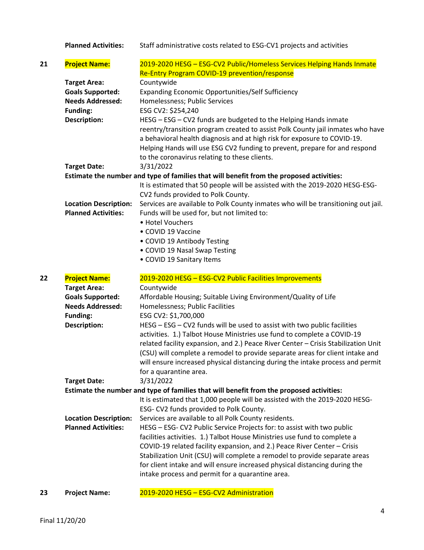**Planned Activities:** Staff administrative costs related to ESG-CV1 projects and activities **21 Project Name:** 2019-2020 HESG – ESG-CV2 Public/Homeless Services Helping Hands Inmate Re-Entry Program COVID-19 prevention/response **Target Area:** Countywide **Goals Supported:** Expanding Economic Opportunities/Self Sufficiency **Needs Addressed:** Homelessness; Public Services **Funding:** ESG CV2: \$254,240 **Description:** HESG – ESG – CV2 funds are budgeted to the Helping Hands inmate reentry/transition program created to assist Polk County jail inmates who have a behavioral health diagnosis and at high risk for exposure to COVID-19. Helping Hands will use ESG CV2 funding to prevent, prepare for and respond to the coronavirus relating to these clients. **Target Date:** 3/31/2022 **Estimate the number and type of families that will benefit from the proposed activities:** It is estimated that 50 people will be assisted with the 2019-2020 HESG-ESG-CV2 funds provided to Polk County. **Location Description:** Services are available to Polk County inmates who will be transitioning out jail. **Planned Activities:** Funds will be used for, but not limited to: • Hotel Vouchers • COVID 19 Vaccine • COVID 19 Antibody Testing • COVID 19 Nasal Swap Testing • COVID 19 Sanitary Items **22 Project Name:** 2019-2020 HESG – ESG-CV2 Public Facilities Improvements **Target Area:** Countywide **Goals Supported:** Affordable Housing; Suitable Living Environment/Quality of Life **Needs Addressed:** Homelessness; Public Facilities **Funding:** ESG CV2: \$1,700,000 **Description:** HESG – ESG – CV2 funds will be used to assist with two public facilities activities. 1.) Talbot House Ministries use fund to complete a COVID-19 related facility expansion, and 2.) Peace River Center – Crisis Stabilization Unit (CSU) will complete a remodel to provide separate areas for client intake and will ensure increased physical distancing during the intake process and permit for a quarantine area. **Target Date:** 3/31/2022 **Estimate the number and type of families that will benefit from the proposed activities:** It is estimated that 1,000 people will be assisted with the 2019-2020 HESG-ESG- CV2 funds provided to Polk County. **Location Description:** Services are available to all Polk County residents. **Planned Activities:** HESG – ESG- CV2 Public Service Projects for: to assist with two public facilities activities. 1.) Talbot House Ministries use fund to complete a COVID-19 related facility expansion, and 2.) Peace River Center – Crisis Stabilization Unit (CSU) will complete a remodel to provide separate areas for client intake and will ensure increased physical distancing during the intake process and permit for a quarantine area.

#### **23 Project Name:** 2019-2020 HESG – ESG-CV2 Administration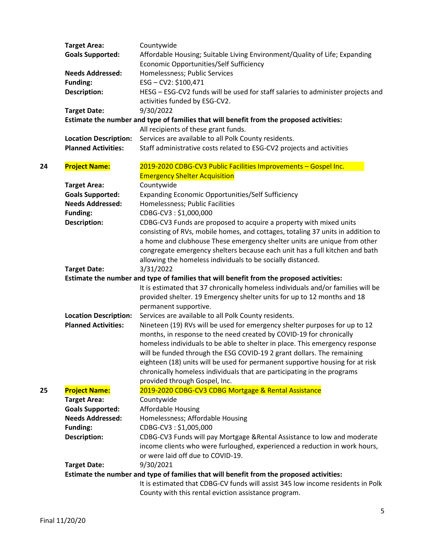|    | <b>Target Area:</b>          | Countywide                                                                               |
|----|------------------------------|------------------------------------------------------------------------------------------|
|    | <b>Goals Supported:</b>      | Affordable Housing; Suitable Living Environment/Quality of Life; Expanding               |
|    |                              | Economic Opportunities/Self Sufficiency                                                  |
|    | <b>Needs Addressed:</b>      | Homelessness; Public Services                                                            |
|    | <b>Funding:</b>              | ESG-CV2: \$100,471                                                                       |
|    | <b>Description:</b>          | HESG - ESG-CV2 funds will be used for staff salaries to administer projects and          |
|    |                              | activities funded by ESG-CV2.                                                            |
|    | <b>Target Date:</b>          | 9/30/2022                                                                                |
|    |                              | Estimate the number and type of families that will benefit from the proposed activities: |
|    |                              | All recipients of these grant funds.                                                     |
|    | <b>Location Description:</b> | Services are available to all Polk County residents.                                     |
|    | <b>Planned Activities:</b>   | Staff administrative costs related to ESG-CV2 projects and activities                    |
| 24 | <b>Project Name:</b>         | 2019-2020 CDBG-CV3 Public Facilities Improvements - Gospel Inc.                          |
|    |                              | <b>Emergency Shelter Acquisition</b>                                                     |
|    | <b>Target Area:</b>          | Countywide                                                                               |
|    | <b>Goals Supported:</b>      | Expanding Economic Opportunities/Self Sufficiency                                        |
|    | <b>Needs Addressed:</b>      | Homelessness; Public Facilities                                                          |
|    | <b>Funding:</b>              | CDBG-CV3: \$1,000,000                                                                    |
|    | <b>Description:</b>          | CDBG-CV3 Funds are proposed to acquire a property with mixed units                       |
|    |                              | consisting of RVs, mobile homes, and cottages, totaling 37 units in addition to          |
|    |                              | a home and clubhouse These emergency shelter units are unique from other                 |
|    |                              | congregate emergency shelters because each unit has a full kitchen and bath              |
|    |                              | allowing the homeless individuals to be socially distanced.                              |
|    | <b>Target Date:</b>          | 3/31/2022                                                                                |
|    |                              | Estimate the number and type of families that will benefit from the proposed activities: |
|    |                              | It is estimated that 37 chronically homeless individuals and/or families will be         |
|    |                              | provided shelter. 19 Emergency shelter units for up to 12 months and 18                  |
|    |                              | permanent supportive.                                                                    |
|    | <b>Location Description:</b> | Services are available to all Polk County residents.                                     |
|    | <b>Planned Activities:</b>   | Nineteen (19) RVs will be used for emergency shelter purposes for up to 12               |
|    |                              | months, in response to the need created by COVID-19 for chronically                      |
|    |                              | homeless individuals to be able to shelter in place. This emergency response             |
|    |                              | will be funded through the ESG COVID-19 2 grant dollars. The remaining                   |
|    |                              | eighteen (18) units will be used for permanent supportive housing for at risk            |
|    |                              | chronically homeless individuals that are participating in the programs                  |
|    |                              | provided through Gospel, Inc.                                                            |
| 25 | <b>Project Name:</b>         | 2019-2020 CDBG-CV3 CDBG Mortgage & Rental Assistance                                     |
|    | <b>Target Area:</b>          | Countywide                                                                               |
|    | <b>Goals Supported:</b>      | <b>Affordable Housing</b>                                                                |
|    | <b>Needs Addressed:</b>      | Homelessness; Affordable Housing                                                         |
|    | <b>Funding:</b>              | CDBG-CV3: \$1,005,000                                                                    |
|    | <b>Description:</b>          | CDBG-CV3 Funds will pay Mortgage & Rental Assistance to low and moderate                 |
|    |                              | income clients who were furloughed, experienced a reduction in work hours,               |
|    |                              | or were laid off due to COVID-19.                                                        |
|    | <b>Target Date:</b>          | 9/30/2021                                                                                |
|    |                              | Estimate the number and type of families that will benefit from the proposed activities: |
|    |                              | It is estimated that CDBG-CV funds will assist 345 low income residents in Polk          |
|    |                              | County with this rental eviction assistance program.                                     |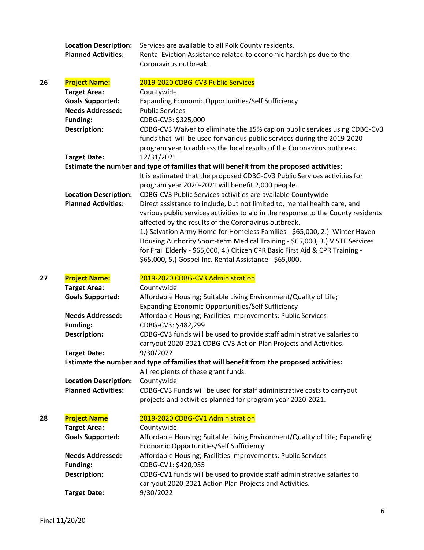|    | <b>Location Description:</b><br><b>Planned Activities:</b> | Services are available to all Polk County residents.<br>Rental Eviction Assistance related to economic hardships due to the<br>Coronavirus outbreak.                                                                                                                                                                                                                                 |
|----|------------------------------------------------------------|--------------------------------------------------------------------------------------------------------------------------------------------------------------------------------------------------------------------------------------------------------------------------------------------------------------------------------------------------------------------------------------|
| 26 | <b>Project Name:</b>                                       | 2019-2020 CDBG-CV3 Public Services                                                                                                                                                                                                                                                                                                                                                   |
|    | <b>Target Area:</b>                                        | Countywide                                                                                                                                                                                                                                                                                                                                                                           |
|    | <b>Goals Supported:</b>                                    | Expanding Economic Opportunities/Self Sufficiency                                                                                                                                                                                                                                                                                                                                    |
|    | <b>Needs Addressed:</b>                                    | <b>Public Services</b>                                                                                                                                                                                                                                                                                                                                                               |
|    | <b>Funding:</b>                                            | CDBG-CV3: \$325,000                                                                                                                                                                                                                                                                                                                                                                  |
|    | <b>Description:</b>                                        | CDBG-CV3 Waiver to eliminate the 15% cap on public services using CDBG-CV3<br>funds that will be used for various public services during the 2019-2020<br>program year to address the local results of the Coronavirus outbreak.                                                                                                                                                     |
|    | <b>Target Date:</b>                                        | 12/31/2021                                                                                                                                                                                                                                                                                                                                                                           |
|    |                                                            | Estimate the number and type of families that will benefit from the proposed activities:<br>It is estimated that the proposed CDBG-CV3 Public Services activities for<br>program year 2020-2021 will benefit 2,000 people.                                                                                                                                                           |
|    | <b>Location Description:</b><br><b>Planned Activities:</b> | CDBG-CV3 Public Services activities are available Countywide                                                                                                                                                                                                                                                                                                                         |
|    |                                                            | Direct assistance to include, but not limited to, mental health care, and<br>various public services activities to aid in the response to the County residents<br>affected by the results of the Coronavirus outbreak.<br>1.) Salvation Army Home for Homeless Families - \$65,000, 2.) Winter Haven<br>Housing Authority Short-term Medical Training - \$65,000, 3.) VISTE Services |
|    |                                                            | for Frail Elderly - \$65,000, 4.) Citizen CPR Basic First Aid & CPR Training -                                                                                                                                                                                                                                                                                                       |
|    |                                                            | \$65,000, 5.) Gospel Inc. Rental Assistance - \$65,000.                                                                                                                                                                                                                                                                                                                              |
|    |                                                            |                                                                                                                                                                                                                                                                                                                                                                                      |
|    |                                                            |                                                                                                                                                                                                                                                                                                                                                                                      |
| 27 | <b>Project Name:</b>                                       | 2019-2020 CDBG-CV3 Administration                                                                                                                                                                                                                                                                                                                                                    |
|    | <b>Target Area:</b>                                        | Countywide                                                                                                                                                                                                                                                                                                                                                                           |
|    | <b>Goals Supported:</b>                                    | Affordable Housing; Suitable Living Environment/Quality of Life;<br>Expanding Economic Opportunities/Self Sufficiency                                                                                                                                                                                                                                                                |
|    | <b>Needs Addressed:</b>                                    | Affordable Housing; Facilities Improvements; Public Services                                                                                                                                                                                                                                                                                                                         |
|    | <b>Funding:</b>                                            | CDBG-CV3: \$482,299                                                                                                                                                                                                                                                                                                                                                                  |
|    | <b>Description:</b>                                        | CDBG-CV3 funds will be used to provide staff administrative salaries to<br>carryout 2020-2021 CDBG-CV3 Action Plan Projects and Activities.                                                                                                                                                                                                                                          |
|    | <b>Target Date:</b>                                        | 9/30/2022                                                                                                                                                                                                                                                                                                                                                                            |
|    |                                                            | Estimate the number and type of families that will benefit from the proposed activities:                                                                                                                                                                                                                                                                                             |
|    |                                                            | All recipients of these grant funds.                                                                                                                                                                                                                                                                                                                                                 |
|    | <b>Location Description:</b>                               | Countywide                                                                                                                                                                                                                                                                                                                                                                           |
|    | <b>Planned Activities:</b>                                 | CDBG-CV3 Funds will be used for staff administrative costs to carryout<br>projects and activities planned for program year 2020-2021.                                                                                                                                                                                                                                                |
| 28 |                                                            |                                                                                                                                                                                                                                                                                                                                                                                      |
|    | <b>Project Name</b><br><b>Target Area:</b>                 | 2019-2020 CDBG-CV1 Administration<br>Countywide                                                                                                                                                                                                                                                                                                                                      |
|    | <b>Goals Supported:</b>                                    | Affordable Housing; Suitable Living Environment/Quality of Life; Expanding                                                                                                                                                                                                                                                                                                           |
|    |                                                            | Economic Opportunities/Self Sufficiency                                                                                                                                                                                                                                                                                                                                              |
|    | <b>Needs Addressed:</b>                                    | Affordable Housing; Facilities Improvements; Public Services                                                                                                                                                                                                                                                                                                                         |
|    | <b>Funding:</b>                                            | CDBG-CV1: \$420,955                                                                                                                                                                                                                                                                                                                                                                  |
|    | <b>Description:</b>                                        | CDBG-CV1 funds will be used to provide staff administrative salaries to<br>carryout 2020-2021 Action Plan Projects and Activities.                                                                                                                                                                                                                                                   |